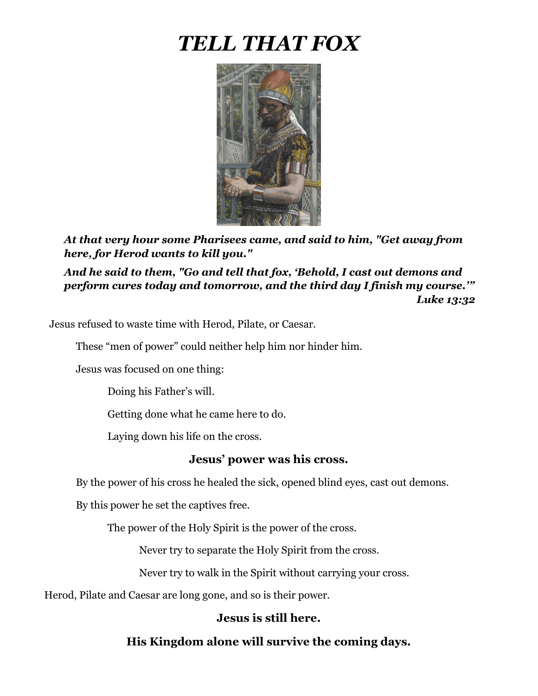# *TELL THAT FOX*



*At that very hour some Pharisees came, and said to him, "Get away from here, for Herod wants to kill you."*

*And he said to them, "Go and tell that fox, 'Behold, I cast out demons and perform cures today and tomorrow, and the third day I finish my course.'" Luke 13:32*

Jesus refused to waste time with Herod, Pilate, or Caesar.

These "men of power" could neither help him nor hinder him.

Jesus was focused on one thing:

Doing his Father's will.

Getting done what he came here to do.

Laying down his life on the cross.

## **Jesus' power was his cross.**

By the power of his cross he healed the sick, opened blind eyes, cast out demons.

By this power he set the captives free.

The power of the Holy Spirit is the power of the cross.

Never try to separate the Holy Spirit from the cross.

Never try to walk in the Spirit without carrying your cross.

Herod, Pilate and Caesar are long gone, and so is their power.

## **Jesus is still here.**

# **His Kingdom alone will survive the coming days.**